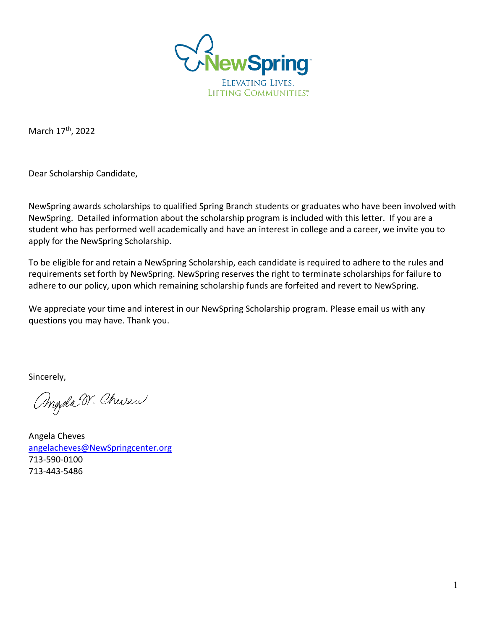

March 17<sup>th</sup>, 2022

Dear Scholarship Candidate,

NewSpring awards scholarships to qualified Spring Branch students or graduates who have been involved with NewSpring. Detailed information about the scholarship program is included with this letter. If you are a student who has performed well academically and have an interest in college and a career, we invite you to apply for the NewSpring Scholarship.

To be eligible for and retain a NewSpring Scholarship, each candidate is required to adhere to the rules and requirements set forth by NewSpring. NewSpring reserves the right to terminate scholarships for failure to adhere to our policy, upon which remaining scholarship funds are forfeited and revert to NewSpring.

We appreciate your time and interest in our NewSpring Scholarship program. Please email us with any questions you may have. Thank you.

Sincerely,

Angela W. Cheres

Angela Cheves [angelacheves@NewSpringcenter.org](mailto:angelacheves@newspringcenter.org) 713-590-0100 713-443-5486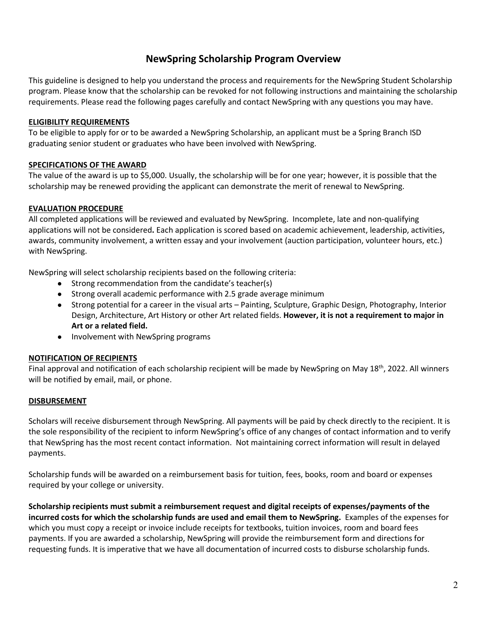## **NewSpring Scholarship Program Overview**

This guideline is designed to help you understand the process and requirements for the NewSpring Student Scholarship program. Please know that the scholarship can be revoked for not following instructions and maintaining the scholarship requirements. Please read the following pages carefully and contact NewSpring with any questions you may have.

#### **ELIGIBILITY REQUIREMENTS**

To be eligible to apply for or to be awarded a NewSpring Scholarship, an applicant must be a Spring Branch ISD graduating senior student or graduates who have been involved with NewSpring.

#### **SPECIFICATIONS OF THE AWARD**

The value of the award is up to \$5,000. Usually, the scholarship will be for one year; however, it is possible that the scholarship may be renewed providing the applicant can demonstrate the merit of renewal to NewSpring.

#### **EVALUATION PROCEDURE**

All completed applications will be reviewed and evaluated by NewSpring. Incomplete, late and non-qualifying applications will not be considered**.** Each application is scored based on academic achievement, leadership, activities, awards, community involvement, a written essay and your involvement (auction participation, volunteer hours, etc.) with NewSpring.

NewSpring will select scholarship recipients based on the following criteria:

- Strong recommendation from the candidate's teacher(s)
- Strong overall academic performance with 2.5 grade average minimum
- Strong potential for a career in the visual arts Painting, Sculpture, Graphic Design, Photography, Interior Design, Architecture, Art History or other Art related fields. **However, it is not a requirement to major in Art or a related field.**
- Involvement with NewSpring programs

#### **NOTIFICATION OF RECIPIENTS**

Final approval and notification of each scholarship recipient will be made by NewSpring on May 18<sup>th</sup>, 2022. All winners will be notified by email, mail, or phone.

#### **DISBURSEMENT**

Scholars will receive disbursement through NewSpring. All payments will be paid by check directly to the recipient. It is the sole responsibility of the recipient to inform NewSpring's office of any changes of contact information and to verify that NewSpring has the most recent contact information. Not maintaining correct information will result in delayed payments.

Scholarship funds will be awarded on a reimbursement basis for tuition, fees, books, room and board or expenses required by your college or university.

**Scholarship recipients must submit a reimbursement request and digital receipts of expenses/payments of the incurred costs for which the scholarship funds are used and email them to NewSpring.** Examples of the expenses for which you must copy a receipt or invoice include receipts for textbooks, tuition invoices, room and board fees payments. If you are awarded a scholarship, NewSpring will provide the reimbursement form and directions for requesting funds. It is imperative that we have all documentation of incurred costs to disburse scholarship funds.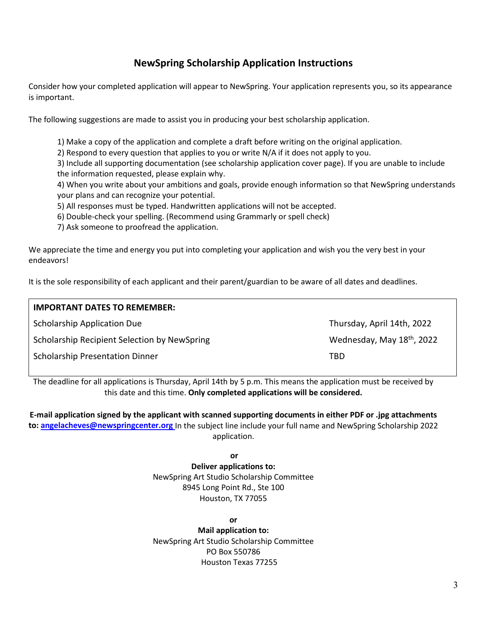# **NewSpring Scholarship Application Instructions**

Consider how your completed application will appear to NewSpring. Your application represents you, so its appearance is important.

The following suggestions are made to assist you in producing your best scholarship application.

1) Make a copy of the application and complete a draft before writing on the original application.

2) Respond to every question that applies to you or write N/A if it does not apply to you.

3) Include all supporting documentation (see scholarship application cover page). If you are unable to include the information requested, please explain why.

4) When you write about your ambitions and goals, provide enough information so that NewSpring understands your plans and can recognize your potential.

5) All responses must be typed. Handwritten applications will not be accepted.

6) Double-check your spelling. (Recommend using Grammarly or spell check)

7) Ask someone to proofread the application.

We appreciate the time and energy you put into completing your application and wish you the very best in your endeavors!

It is the sole responsibility of each applicant and their parent/guardian to be aware of all dates and deadlines.

| <b>IMPORTANT DATES TO REMEMBER:</b>          |                            |
|----------------------------------------------|----------------------------|
| <b>Scholarship Application Due</b>           | Thursday, April 14th, 2022 |
| Scholarship Recipient Selection by NewSpring | Wednesday, May 18th, 2022  |
| <b>Scholarship Presentation Dinner</b>       | TBD                        |

The deadline for all applications is Thursday, April 14th by 5 p.m. This means the application must be received by this date and this time. **Only completed applications will be considered.**

**E-mail application signed by the applicant with scanned supporting documents in either PDF or .jpg attachments to: [angelacheves@newspringcenter.org](mailto:angelacheves@newspringcenter.org)** In the subject line include your full name and NewSpring Scholarship 2022 application.

**or** or the contract of the contract of the contract of the contract of the contract of the contract of the contract of the contract of the contract of the contract of the contract of the contract of the contract of the co **Deliver applications to:** NewSpring Art Studio Scholarship Committee 8945 Long Point Rd., Ste 100 Houston, TX 77055

**or**

**Mail application to:**  NewSpring Art Studio Scholarship Committee PO Box 550786 Houston Texas 77255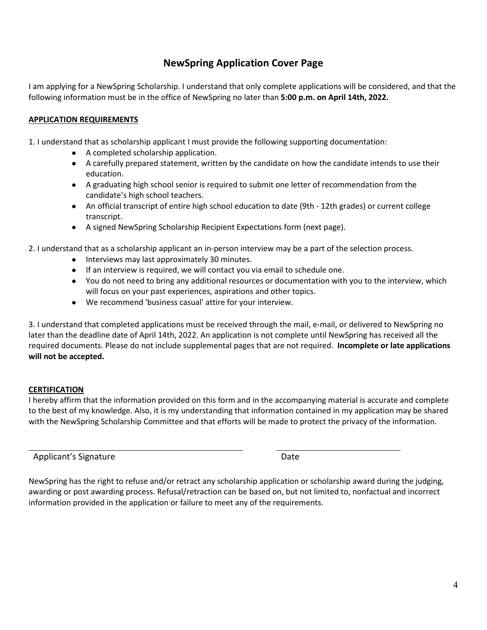## **NewSpring Application Cover Page**

I am applying for a NewSpring Scholarship. I understand that only complete applications will be considered, and that the following information must be in the office of NewSpring no later than **5:00 p.m. on April 14th, 2022.** 

#### **APPLICATION REQUIREMENTS**

1. I understand that as scholarship applicant I must provide the following supporting documentation:

- A completed scholarship application.
- A carefully prepared statement, written by the candidate on how the candidate intends to use their education.
- A graduating high school senior is required to submit one letter of recommendation from the candidate's high school teachers.
- An official transcript of entire high school education to date (9th 12th grades) or current college transcript.
- A signed NewSpring Scholarship Recipient Expectations form (next page).

2. I understand that as a scholarship applicant an in-person interview may be a part of the selection process.

- Interviews may last approximately 30 minutes.
- If an interview is required, we will contact you via email to schedule one.
- You do not need to bring any additional resources or documentation with you to the interview, which will focus on your past experiences, aspirations and other topics.
- We recommend 'business casual' attire for your interview.

3. I understand that completed applications must be received through the mail, e-mail, or delivered to NewSpring no later than the deadline date of April 14th, 2022. An application is not complete until NewSpring has received all the required documents. Please do not include supplemental pages that are not required. **Incomplete or late applications will not be accepted.** 

#### **CERTIFICATION**

I hereby affirm that the information provided on this form and in the accompanying material is accurate and complete to the best of my knowledge. Also, it is my understanding that information contained in my application may be shared with the NewSpring Scholarship Committee and that efforts will be made to protect the privacy of the information.

Applicant's Signature Date Date

NewSpring has the right to refuse and/or retract any scholarship application or scholarship award during the judging, awarding or post awarding process. Refusal/retraction can be based on, but not limited to, nonfactual and incorrect information provided in the application or failure to meet any of the requirements.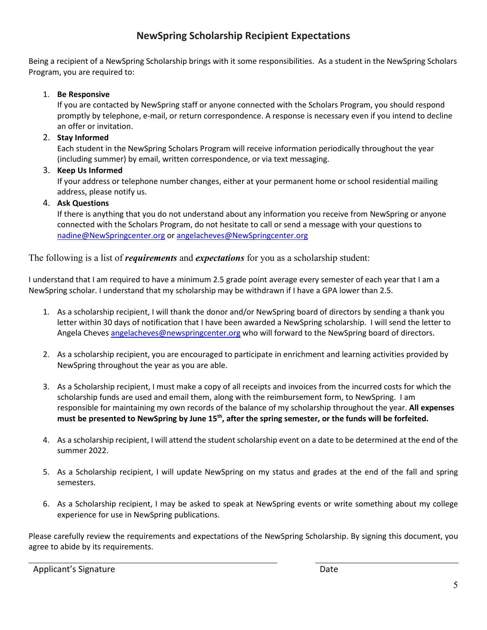# **NewSpring Scholarship Recipient Expectations**

Being a recipient of a NewSpring Scholarship brings with it some responsibilities. As a student in the NewSpring Scholars Program, you are required to:

1. **Be Responsive**

If you are contacted by NewSpring staff or anyone connected with the Scholars Program, you should respond promptly by telephone, e-mail, or return correspondence. A response is necessary even if you intend to decline an offer or invitation.

2. **Stay Informed**

Each student in the NewSpring Scholars Program will receive information periodically throughout the year (including summer) by email, written correspondence, or via text messaging.

3. **Keep Us Informed**

If your address or telephone number changes, either at your permanent home or school residential mailing address, please notify us.

4. **Ask Questions**

If there is anything that you do not understand about any information you receive from NewSpring or anyone connected with the Scholars Program, do not hesitate to call or send a message with your questions to [nadine@NewSpringcenter.org](mailto:nadine@newspringcenter.org) or [angelacheves@NewSpringcenter.org](mailto:angelacheves@newspringcenter.org)

The following is a list of *requirements* and *expectations* for you as a scholarship student:

I understand that I am required to have a minimum 2.5 grade point average every semester of each year that I am a NewSpring scholar. I understand that my scholarship may be withdrawn if I have a GPA lower than 2.5.

- 1. As a scholarship recipient, I will thank the donor and/or NewSpring board of directors by sending a thank you letter within 30 days of notification that I have been awarded a NewSpring scholarship. I will send the letter to Angela Cheve[s angelacheves@newspringcenter.org](mailto:angelacheves@newspringcenter.org) who will forward to the NewSpring board of directors.
- 2. As a scholarship recipient, you are encouraged to participate in enrichment and learning activities provided by NewSpring throughout the year as you are able.
- 3. As a Scholarship recipient, I must make a copy of all receipts and invoices from the incurred costs for which the scholarship funds are used and email them, along with the reimbursement form, to NewSpring. I am responsible for maintaining my own records of the balance of my scholarship throughout the year. **All expenses must be presented to NewSpring by June 15th, after the spring semester, or the funds will be forfeited.**
- 4. As a scholarship recipient, I will attend the student scholarship event on a date to be determined at the end of the summer 2022.
- 5. As a Scholarship recipient, I will update NewSpring on my status and grades at the end of the fall and spring semesters.
- 6. As a Scholarship recipient, I may be asked to speak at NewSpring events or write something about my college experience for use in NewSpring publications.

Please carefully review the requirements and expectations of the NewSpring Scholarship. By signing this document, you agree to abide by its requirements.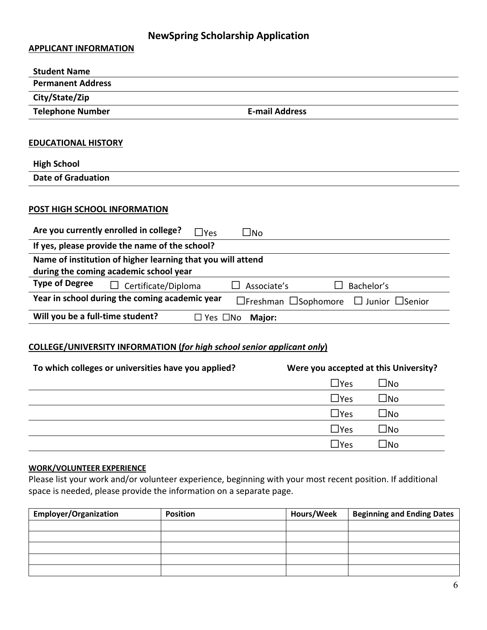# **NewSpring Scholarship Application**

**APPLICANT INFORMATION**

| <b>Student Name</b>                                                                                   |                                                                 |
|-------------------------------------------------------------------------------------------------------|-----------------------------------------------------------------|
| <b>Permanent Address</b>                                                                              |                                                                 |
| City/State/Zip                                                                                        |                                                                 |
| <b>Telephone Number</b>                                                                               | <b>E-mail Address</b>                                           |
| <b>EDUCATIONAL HISTORY</b>                                                                            |                                                                 |
|                                                                                                       |                                                                 |
| <b>High School</b>                                                                                    |                                                                 |
| Date of Graduation                                                                                    |                                                                 |
| POST HIGH SCHOOL INFORMATION                                                                          |                                                                 |
| Are you currently enrolled in college?<br>$\Box$ Yes                                                  | $\square$ No                                                    |
| If yes, please provide the name of the school?                                                        |                                                                 |
| Name of institution of higher learning that you will attend<br>during the coming academic school year |                                                                 |
| <b>Type of Degree</b><br>Certificate/Diploma                                                          | Associate's<br>Bachelor's                                       |
| Year in school during the coming academic year                                                        | $\Box$ Freshman $\Box$ Sophomore<br>$\Box$ Junior $\Box$ Senior |
| Will you be a full-time student?                                                                      | $\Box$ Yes $\Box$ No<br>Major:                                  |
|                                                                                                       |                                                                 |

### **COLLEGE/UNIVERSITY INFORMATION (***for high school senior applicant only***)**

| Were you accepted at this University?<br>To which colleges or universities have you applied? |                            |  |
|----------------------------------------------------------------------------------------------|----------------------------|--|
|                                                                                              | $\square$ No<br>$\Box$ Yes |  |
|                                                                                              | $\square$ No<br>$\Box$ Yes |  |
|                                                                                              | $\square$ No<br>$\Box$ Yes |  |
|                                                                                              | $\square$ No<br>$\Box$ Yes |  |
|                                                                                              | $\Box$ No<br>lYes          |  |

#### **WORK/VOLUNTEER EXPERIENCE**

Please list your work and/or volunteer experience, beginning with your most recent position. If additional space is needed, please provide the information on a separate page.

| <b>Employer/Organization</b> | <b>Position</b> | Hours/Week | <b>Beginning and Ending Dates</b> |
|------------------------------|-----------------|------------|-----------------------------------|
|                              |                 |            |                                   |
|                              |                 |            |                                   |
|                              |                 |            |                                   |
|                              |                 |            |                                   |
|                              |                 |            |                                   |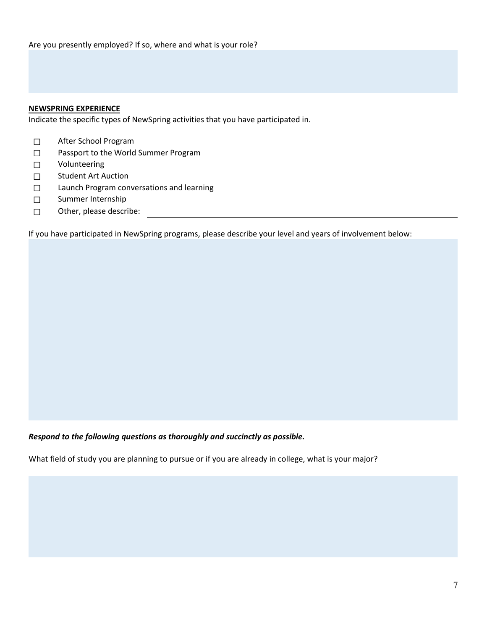#### **NEWSPRING EXPERIENCE**

Indicate the specific types of NewSpring activities that you have participated in.

- ☐ After School Program
- ☐ Passport to the World Summer Program
- ☐ Volunteering
- □ Student Art Auction
- ☐ Launch Program conversations and learning
- ☐ Summer Internship
- ☐ Other, please describe:

If you have participated in NewSpring programs, please describe your level and years of involvement below:

*Respond to the following questions as thoroughly and succinctly as possible.*

What field of study you are planning to pursue or if you are already in college, what is your major?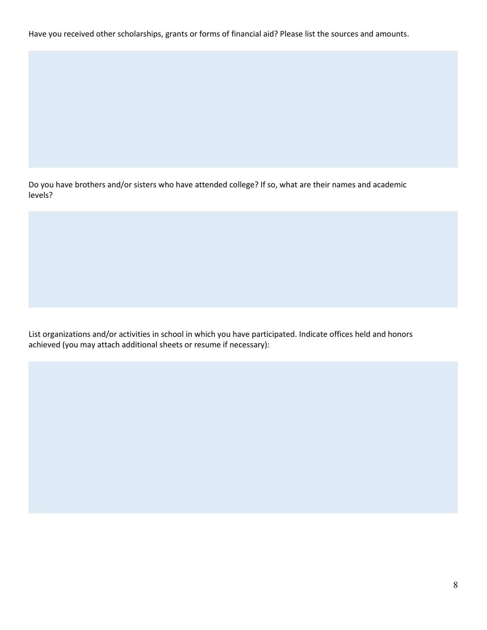Have you received other scholarships, grants or forms of financial aid? Please list the sources and amounts.

Do you have brothers and/or sisters who have attended college? If so, what are their names and academic levels?

List organizations and/or activities in school in which you have participated. Indicate offices held and honors achieved (you may attach additional sheets or resume if necessary):